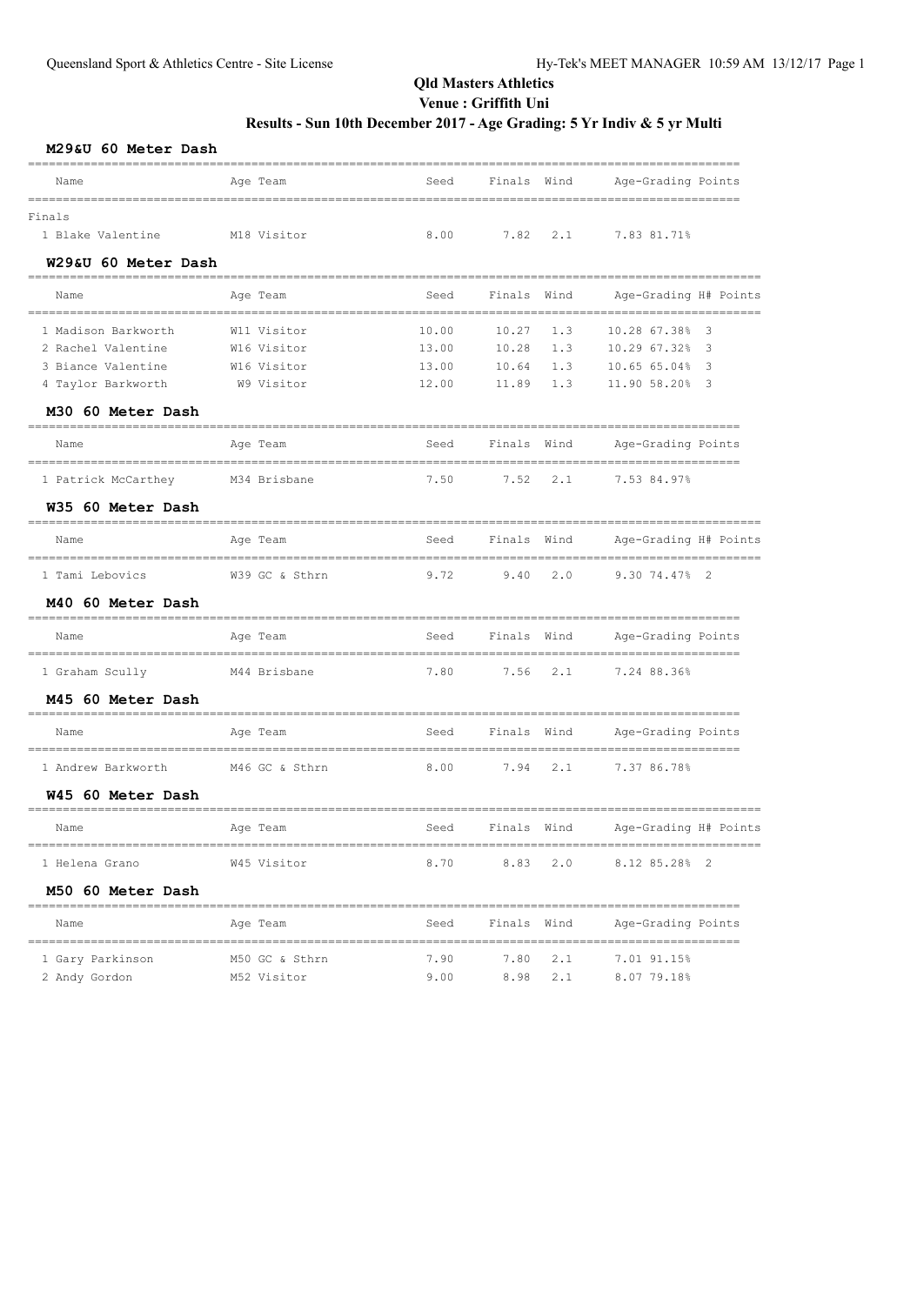## **Results - Sun 10th December 2017 - Age Grading: 5 Yr Indiv & 5 yr Multi**

| M29&U 60 Meter Dash |                |       |               |             |                       |                         |
|---------------------|----------------|-------|---------------|-------------|-----------------------|-------------------------|
| Name                | Age Team       | Seed  | Finals        | Wind        | Age-Grading Points    |                         |
| Finals              |                |       |               |             |                       |                         |
| 1 Blake Valentine   | M18 Visitor    | 8.00  | 7.82          | 2.1         | 7.83 81.71%           |                         |
| W29&U 60 Meter Dash | ----------     |       |               |             |                       |                         |
| Name                | Age Team       | Seed  | Finals        | Wind        | Age-Grading H# Points |                         |
| 1 Madison Barkworth | W11 Visitor    | 10.00 | 10.27         | 1.3         | 10.28 67.38%          | 3                       |
| 2 Rachel Valentine  | W16 Visitor    | 13.00 | 10.28         | 1.3         | 10.29 67.32%          | -3                      |
| 3 Biance Valentine  | W16 Visitor    | 13.00 | 10.64         | 1.3         | 10.65 65.04%          | $\overline{\mathbf{3}}$ |
| 4 Taylor Barkworth  | W9 Visitor     | 12.00 | 11.89         | 1.3         | 11.90 58.20% 3        |                         |
| M30 60 Meter Dash   |                |       |               |             |                       |                         |
| Name                | Age Team       | Seed  | Finals Wind   |             | Age-Grading Points    |                         |
| 1 Patrick McCarthey | M34 Brisbane   | 7.50  | 7.52          | 2.1         | 7.53 84.97%           |                         |
| W35 60 Meter Dash   |                |       |               |             |                       |                         |
| Name                | Age Team       | Seed  | Finals Wind   |             | Age-Grading H# Points |                         |
| 1 Tami Lebovics     | W39 GC & Sthrn | 9.72  | 9.40          | 2.0         | 9.30 74.47% 2         |                         |
| M40 60 Meter Dash   |                |       |               |             |                       |                         |
| Name                | Age Team       | Seed  | Finals Wind   |             | Age-Grading Points    |                         |
| 1 Graham Scully     | M44 Brisbane   | 7.80  | 7.56          | 2.1         | 7.24 88.36%           |                         |
| M45 60 Meter Dash   |                |       |               |             |                       |                         |
| Name                | Age Team       | Seed  | Finals Wind   |             | Age-Grading Points    |                         |
| 1 Andrew Barkworth  | M46 GC & Sthrn | 8.00  | 7.94          | 2.1         | 7.37 86.78%           |                         |
| W45 60 Meter Dash   |                |       |               |             |                       |                         |
| Name                | Age Team       | Seed  | Finals Wind   |             | Age-Grading H# Points |                         |
| 1 Helena Grano      | W45 Visitor    |       | 8.70 8.83 2.0 |             | 8.12 85.28% 2         |                         |
| M50 60 Meter Dash   |                |       |               |             |                       |                         |
| Name                | Age Team       | Seed  |               | Finals Wind | Age-Grading Points    |                         |
| 1 Gary Parkinson    | M50 GC & Sthrn | 7.90  | 7.80          | 2.1         | 7.01 91.15%           |                         |
| 2 Andy Gordon       | M52 Visitor    | 9.00  | 8.98          | 2.1         | 8.07 79.18%           |                         |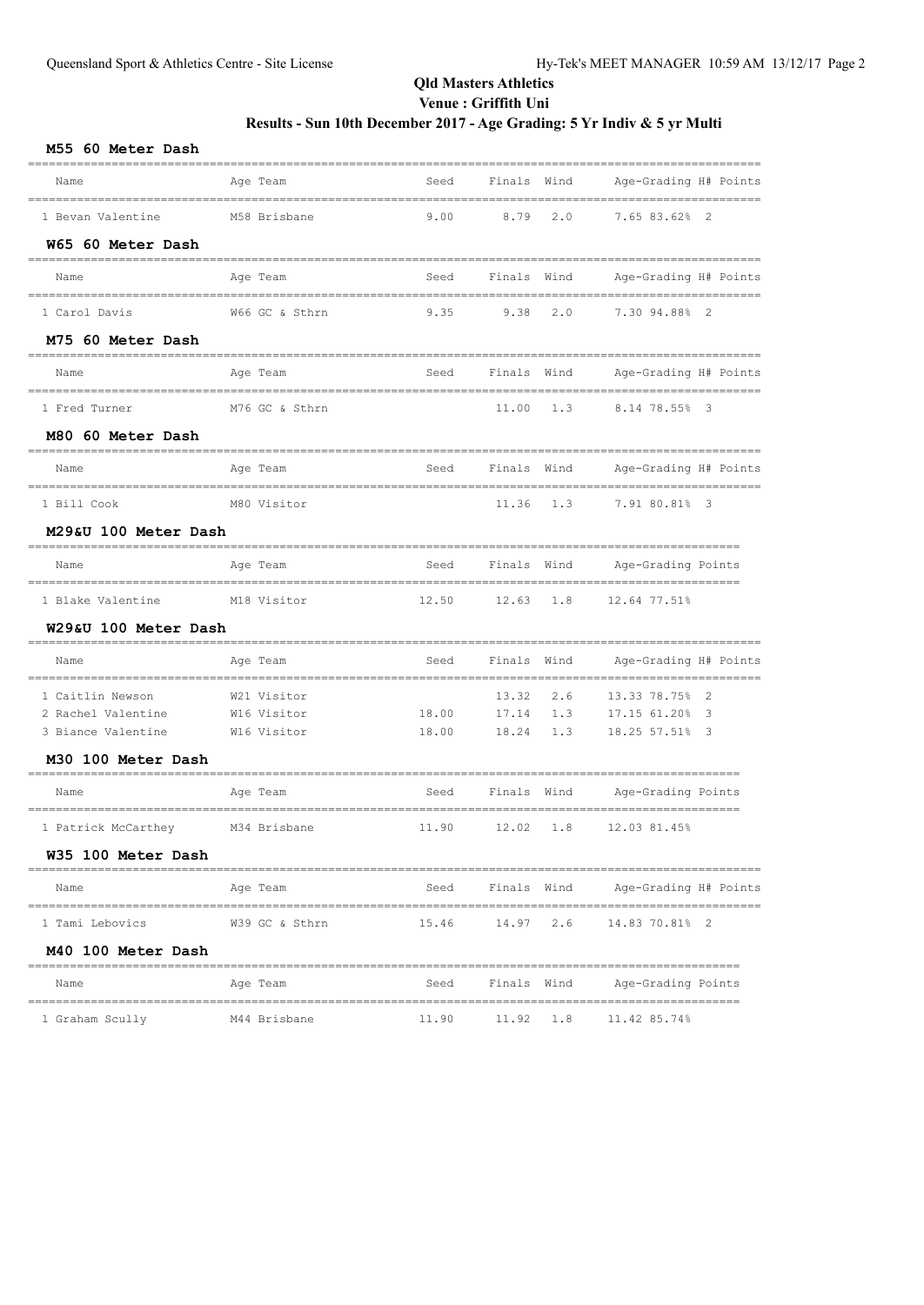## **Results - Sun 10th December 2017 - Age Grading: 5 Yr Indiv & 5 yr Multi**

#### **M55 60 Meter Dash**

| Name                             | Age Team       | Seed  | Finals Wind            |     | Age-Grading H# Points                             |
|----------------------------------|----------------|-------|------------------------|-----|---------------------------------------------------|
| 1 Bevan Valentine                | M58 Brisbane   | 9.00  | 8.79                   | 2.0 | 7.65 83.62% 2                                     |
| W65 60 Meter Dash                |                |       |                        |     |                                                   |
| Name                             | Age Team       | Seed  | Finals Wind            |     | Age-Grading H# Points                             |
| 1 Carol Davis                    | W66 GC & Sthrn | 9.35  | 9.38                   | 2.0 | 7.30 94.88% 2                                     |
| M75 60 Meter Dash                |                |       |                        |     |                                                   |
| Name                             | Age Team       | Seed  | Finals Wind            |     | Age-Grading H# Points                             |
| 1 Fred Turner                    | M76 GC & Sthrn |       | 11.00                  | 1.3 | 8.14 78.55% 3                                     |
| M80 60 Meter Dash                |                |       |                        |     |                                                   |
| Name                             | Age Team       | Seed  | Finals Wind            |     | Age-Grading H# Points                             |
| 1 Bill Cook                      | M80 Visitor    |       | 11.36                  | 1.3 | 7.91 80.81% 3                                     |
| M29&U 100 Meter Dash             |                |       |                        |     |                                                   |
| Name                             | Age Team       | Seed  | Finals Wind            |     | Age-Grading Points<br>------------------------    |
| 1 Blake Valentine                | M18 Visitor    | 12.50 | 12.63                  | 1.8 | 12.64 77.51%                                      |
| W29&U 100 Meter Dash             |                |       |                        |     |                                                   |
| Name                             | Age Team       | Seed  | Finals Wind            |     | Age-Grading H# Points                             |
| 1 Caitlin Newson                 | W21 Visitor    |       | 13.32                  | 2.6 | 13.33 78.75% 2                                    |
| 2 Rachel Valentine               | W16 Visitor    | 18.00 | 17.14                  | 1.3 | 17.15 61.20% 3                                    |
| 3 Biance Valentine               | W16 Visitor    | 18.00 | 18.24                  | 1.3 | 18.25 57.51% 3                                    |
| M30 100 Meter Dash               |                |       |                        |     |                                                   |
| Name                             | Age Team       | Seed  | Finals Wind            |     | Age-Grading Points<br>------------------------    |
| 1 Patrick McCarthey M34 Brisbane |                | 11.90 | 12.02                  | 1.8 | 12.03 81.45%                                      |
| W35 100 Meter Dash               |                |       |                        |     |                                                   |
| Name                             | Age Team       | Seed  | Finals Wind            |     | Age-Grading H# Points                             |
| 1 Tami Lebovics                  | W39 GC & Sthrn | 15.46 | ========<br>14.97      | 2.6 | ----------<br>===============<br>14.83 70.81% 2   |
| M40 100 Meter Dash               |                |       |                        |     |                                                   |
| Name                             | Age Team       | Seed  | Finals Wind<br>======= |     | Age-Grading Points<br>=========================== |
| 1 Graham Scully                  | M44 Brisbane   | 11.90 | 11.92                  | 1.8 | 11.42 85.74%                                      |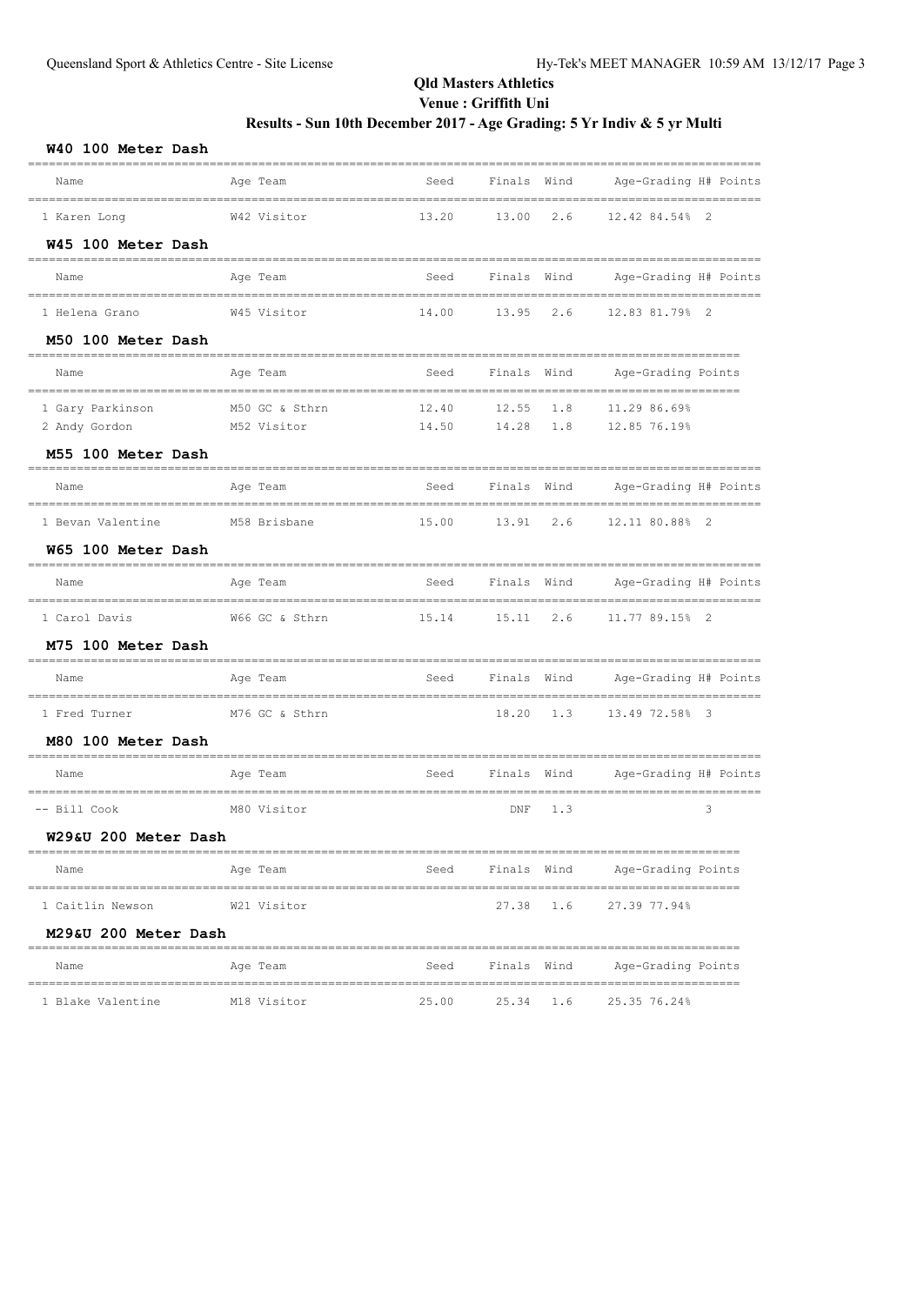## **Results - Sun 10th December 2017 - Age Grading: 5 Yr Indiv & 5 yr Multi**

#### **W40 100 Meter Dash**

| Name                               | Age Team                      | Seed           | Finals Wind        |      | Age-Grading H# Points                   |
|------------------------------------|-------------------------------|----------------|--------------------|------|-----------------------------------------|
| ----------------<br>1 Karen Long   | W42 Visitor                   | 13.20          | 13.00              | 2.6  | 12.42 84.54% 2                          |
| W45 100 Meter Dash                 |                               |                |                    |      |                                         |
| Name                               | Age Team                      | Seed           |                    |      | Finals Wind Age-Grading H# Points       |
| 1 Helena Grano                     | W45 Visitor                   | 14.00          | 13.95              | 2.6  | 12.83 81.79% 2                          |
| M50 100 Meter Dash                 |                               |                |                    |      | _______________________________         |
| Name                               | Age Team                      | Seed           | Finals Wind        |      | Age-Grading Points                      |
| 1 Gary Parkinson<br>2 Andy Gordon  | M50 GC & Sthrn<br>M52 Visitor | 12.40<br>14.50 | 12.55<br>14.28 1.8 | 1.8  | 11.29 86.69%<br>12.85 76.19%            |
| M55 100 Meter Dash                 |                               |                |                    |      |                                         |
| Name                               | Age Team                      | Seed           | Finals Wind        |      | Age-Grading H# Points                   |
| 1 Bevan Valentine                  | M58 Brisbane                  | 15.00          | 13.91              | 2.6  | 12.11 80.88% 2                          |
| W65 100 Meter Dash                 |                               |                |                    |      |                                         |
| Name<br>=========                  | Age Team                      | Seed           | Finals Wind        |      | Age-Grading H# Points                   |
| 1 Carol Davis                      | W66 GC & Sthrn                | 15.14          | 15.11              | 2.6  | 11.77 89.15% 2                          |
| M75 100 Meter Dash                 |                               |                |                    |      |                                         |
| Name                               | Age Team                      | Seed           | Finals             | Wind | Age-Grading H# Points                   |
| 1 Fred Turner                      | M76 GC & Sthrn                |                | 18.20              | 1.3  | 13.49 72.58% 3                          |
| M80 100 Meter Dash                 |                               |                |                    |      |                                         |
| Name                               | Age Team                      | Seed           | Finals Wind        |      | Age-Grading H# Points                   |
| -- Bill Cook                       | M80 Visitor                   |                | <b>DNF</b>         | 1.3  | 3                                       |
| W29&U 200 Meter Dash               |                               |                |                    |      | ===========================             |
| Name                               | Age Team                      | Seed           | Finals Wind        |      | Age-Grading Points                      |
| --------------<br>1 Caitlin Newson | W21 Visitor                   |                | 27.38              | 1.6  | 27.39 77.94%                            |
| M29&U 200 Meter Dash               |                               |                |                    |      |                                         |
| Name                               | Age Team                      | Seed           | Finals             | Wind | Age-Grading Points<br>----------------- |
| 1 Blake Valentine                  | M18 Visitor                   | 25.00          | 25.34              | 1.6  | 25.35 76.24%                            |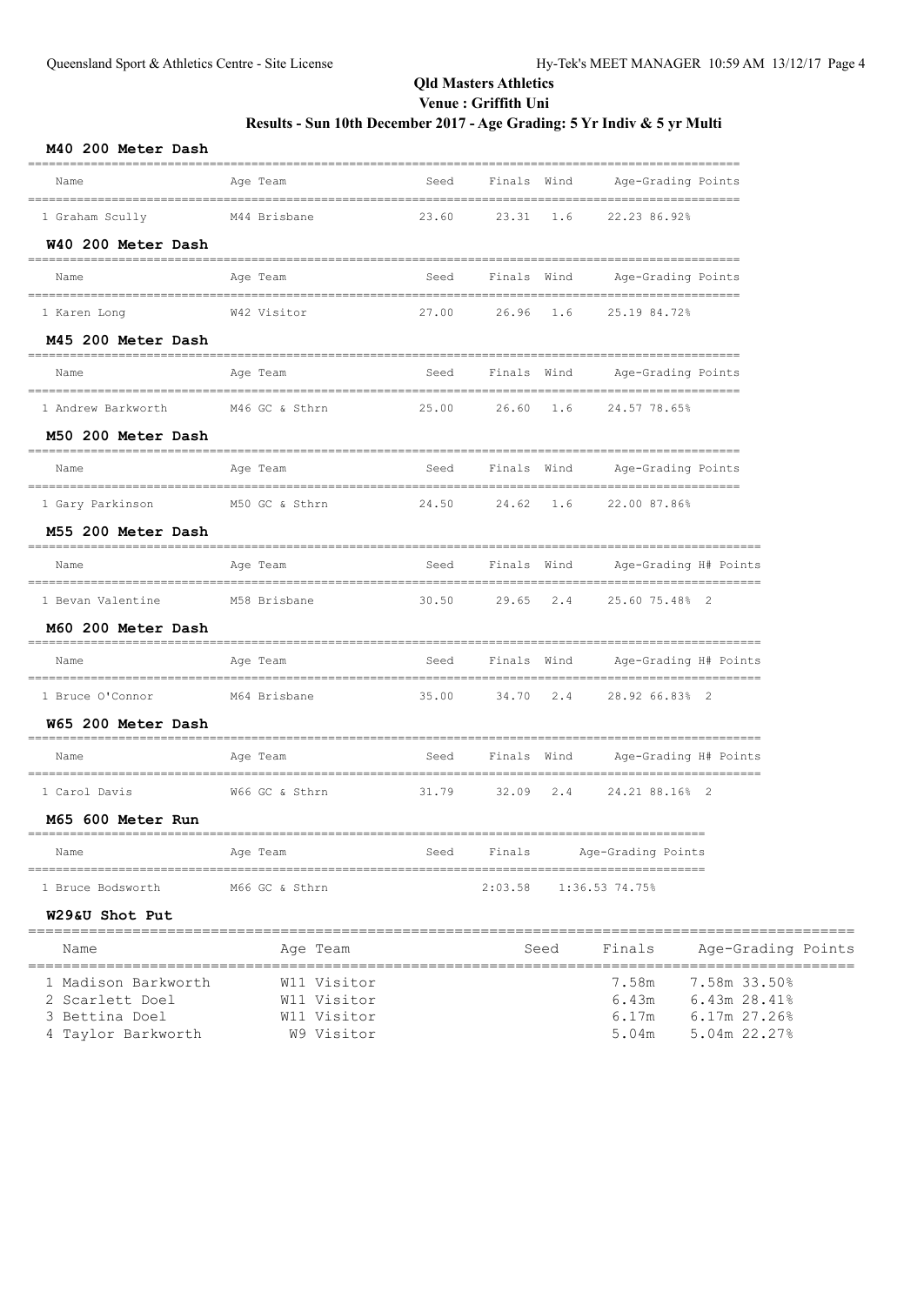## **Results - Sun 10th December 2017 - Age Grading: 5 Yr Indiv & 5 yr Multi**

#### **M40 200 Meter Dash**

| Name                                  | Age Team       | Seed  | Finals Wind |      | Age-Grading Points    |                    |
|---------------------------------------|----------------|-------|-------------|------|-----------------------|--------------------|
| 1 Graham Scully                       | M44 Brisbane   | 23.60 | 23.31       | 1.6  | 22.23 86.92%          |                    |
| W40 200 Meter Dash                    |                |       |             |      |                       |                    |
| Name                                  | Age Team       | Seed  | Finals Wind |      | Age-Grading Points    |                    |
| 1 Karen Long                          | W42 Visitor    | 27.00 | 26.96 1.6   |      | 25.19 84.72%          |                    |
| M45 200 Meter Dash                    |                |       |             |      |                       |                    |
| Name                                  | Age Team       | Seed  | Finals Wind |      | Age-Grading Points    |                    |
| 1 Andrew Barkworth                    | M46 GC & Sthrn | 25.00 | 26.60       | 1.6  | 24.57 78.65%          |                    |
| M50 200 Meter Dash                    |                |       |             |      |                       |                    |
| Name<br>=======================       | Age Team       | Seed  | Finals Wind |      | Age-Grading Points    |                    |
| 1 Gary Parkinson                      | M50 GC & Sthrn | 24.50 | 24.62 1.6   |      | 22.00 87.86%          |                    |
| M55 200 Meter Dash                    |                |       |             |      |                       |                    |
| Name                                  | Age Team       | Seed  | Finals Wind |      | Age-Grading H# Points |                    |
| 1 Bevan Valentine                     | M58 Brisbane   | 30.50 | 29.65       | 2.4  | 25.60 75.48% 2        |                    |
| M60 200 Meter Dash                    |                |       |             |      |                       |                    |
| Name<br>_____________________________ | Age Team       | Seed  | Finals Wind |      | Age-Grading H# Points |                    |
| 1 Bruce O'Connor                      | M64 Brisbane   | 35.00 | 34.70       | 2.4  | 28.92 66.83% 2        |                    |
| W65 200 Meter Dash                    |                |       |             |      |                       |                    |
| Name                                  | Age Team       | Seed  | Finals Wind |      | Age-Grading H# Points |                    |
| 1 Carol Davis                         | W66 GC & Sthrn | 31.79 | 32.09       | 2.4  | 24.21 88.16% 2        |                    |
| M65 600 Meter Run                     |                |       |             |      |                       |                    |
| Name                                  | Age Team       | Seed  | Finals      |      | Age-Grading Points    |                    |
| 1 Bruce Bodsworth                     | M66 GC & Sthrn |       | 2:03.58     |      | 1:36.53 74.75%        |                    |
| W29&U Shot Put                        |                |       |             |      |                       |                    |
| Name                                  | Age Team       |       |             | Seed | Finals                | Age-Grading Points |

| 1 Madison Barkworth | W11 Visitor |       | 7.58m 7.58m 33.50% |
|---------------------|-------------|-------|--------------------|
| 2 Scarlett Doel     | W11 Visitor | 6.43m | $6.43m$ 28.41%     |
| 3 Bettina Doel      | W11 Visitor | 6 17m | $6.17m$ 27.26%     |
| 4 Taylor Barkworth  | W9 Visitor  | 5.04m | $5.04m$ 22.27%     |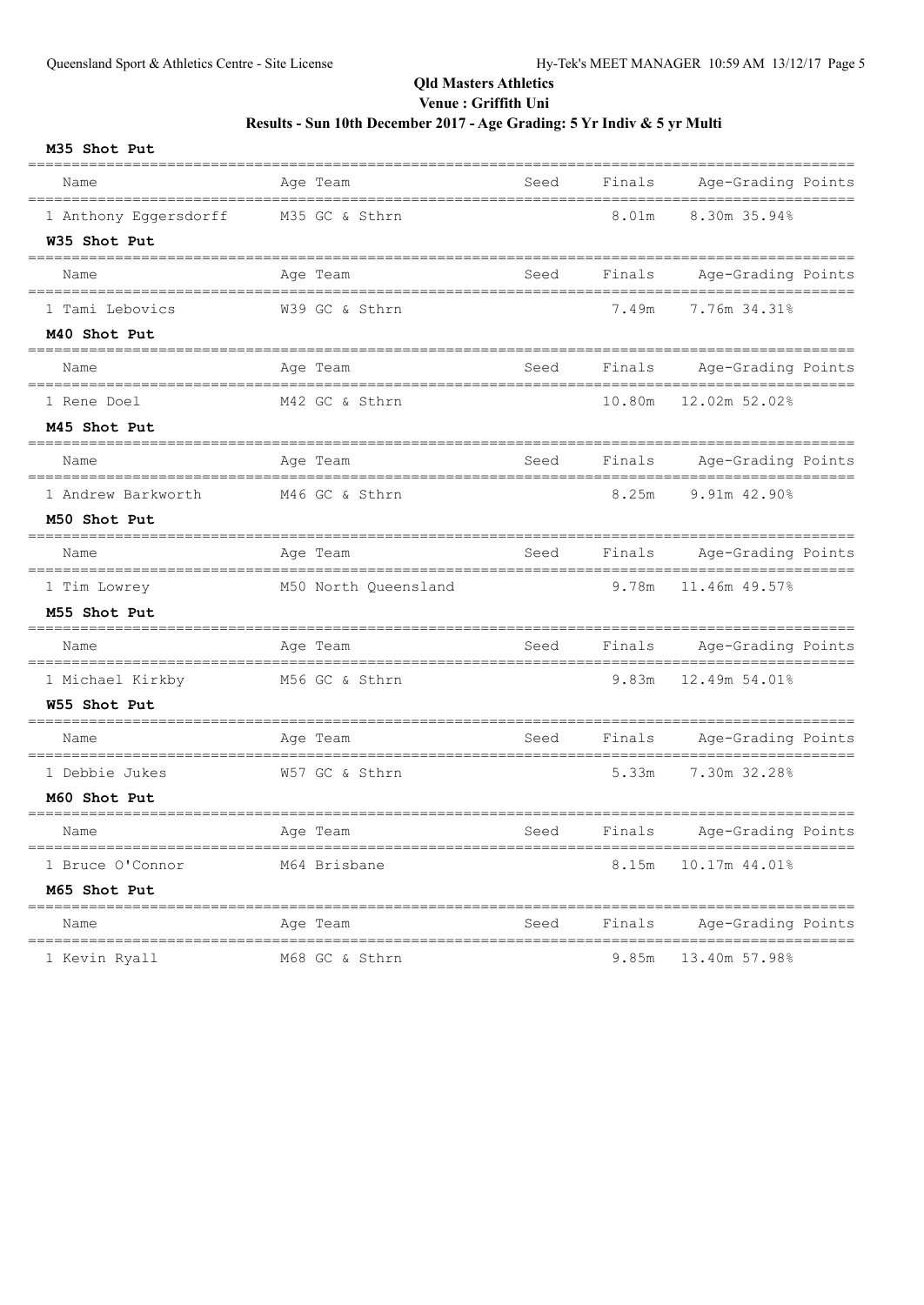## **Results - Sun 10th December 2017 - Age Grading: 5 Yr Indiv & 5 yr Multi**

#### **M35 Shot Put**

| Name                                     | Age Team                                    | Seed | Finals | Age-Grading Points                               |  |
|------------------------------------------|---------------------------------------------|------|--------|--------------------------------------------------|--|
| 1 Anthony Eqqersdorff                    | M35 GC & Sthrn                              |      | 8.01m  | ===============<br>_________<br>8.30m 35.94%     |  |
| W35 Shot Put<br>=================        |                                             |      |        |                                                  |  |
| Name                                     | Age Team                                    | Seed | Finals | Age-Grading Points                               |  |
| 1 Tami Lebovics                          | W39 GC & Sthrn                              |      | 7.49m  | 7.76m 34.31%                                     |  |
| M40 Shot Put<br>=================        |                                             |      |        |                                                  |  |
| Name                                     | Age Team                                    | Seed | Finals | Age-Grading Points                               |  |
| 1 Rene Doel                              | M42 GC & Sthrn                              |      | 10.80m | 12.02m 52.02%                                    |  |
| M45 Shot Put                             |                                             |      |        |                                                  |  |
| Name                                     | Age Team                                    | Seed | Finals | Age-Grading Points                               |  |
| 1 Andrew Barkworth                       | M46 GC & Sthrn                              |      | 8.25m  | 9.91m 42.90%                                     |  |
| M50 Shot Put<br>=============            |                                             |      |        |                                                  |  |
| Name<br>======================           | Age Team                                    | Seed | Finals | Age-Grading Points                               |  |
| 1 Tim Lowrey                             | M50 North Queensland                        |      | 9.78m  | 11.46m 49.57%                                    |  |
| M55 Shot Put                             |                                             |      |        |                                                  |  |
| Name<br>================================ | Age Team<br>------------------------------- | Seed | Finals | Age-Grading Points<br>-------------------------- |  |
| 1 Michael Kirkby                         | M56 GC & Sthrn                              |      | 9.83m  | 12.49m 54.01%                                    |  |
| W55 Shot Put                             |                                             |      |        |                                                  |  |
| Name                                     | Age Team                                    | Seed | Finals | Age-Grading Points                               |  |
| 1 Debbie Jukes                           | W57 GC & Sthrn                              |      | 5.33m  | 7.30m 32.28%                                     |  |
| M60 Shot Put<br>==============           | =========                                   |      |        |                                                  |  |
| Name                                     | Age Team                                    | Seed | Finals | Age-Grading Points                               |  |
| 1 Bruce O'Connor                         | M64 Brisbane                                |      | 8.15m  | 10.17m 44.01%                                    |  |
| M65 Shot Put                             |                                             |      |        |                                                  |  |
| Name                                     | Age Team                                    | Seed | Finals | Age-Grading Points                               |  |
| 1 Kevin Ryall                            | M68 GC & Sthrn                              |      | 9.85m  | 13.40m 57.98%                                    |  |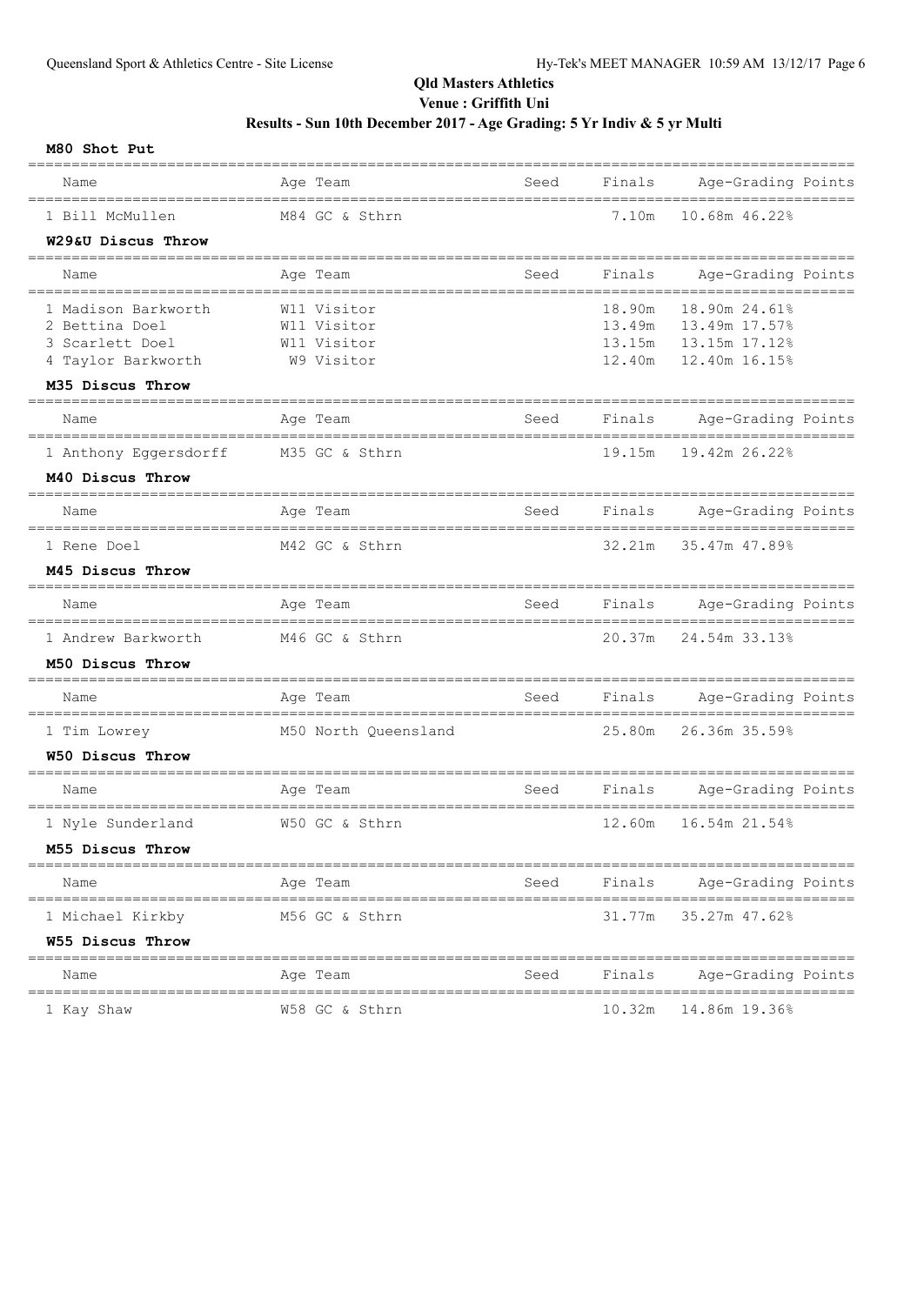## **Qld Masters Athletics Venue : Griffith Uni Results - Sun 10th December 2017 - Age Grading: 5 Yr Indiv & 5 yr Multi**

#### **M80 Shot Put**

| Name                                   | Age Team                                 | Seed | Finals           | Age-Grading Points                          |  |
|----------------------------------------|------------------------------------------|------|------------------|---------------------------------------------|--|
| 1 Bill McMullen                        | M84 GC & Sthrn                           |      | 7.10m            | 10.68m 46.22%                               |  |
| W29&U Discus Throw                     |                                          |      |                  |                                             |  |
| Name                                   | Age Team                                 | Seed | Finals           | Age-Grading Points                          |  |
| 1 Madison Barkworth                    | W11 Visitor                              |      | 18.90m           | 18.90m 24.61%                               |  |
| 2 Bettina Doel<br>3 Scarlett Doel      | W11 Visitor<br>W11 Visitor               |      | 13.49m<br>13.15m | 13.49m 17.57%<br>13.15m 17.12%              |  |
| 4 Taylor Barkworth                     | W9 Visitor                               |      | 12.40m           | 12.40m 16.15%                               |  |
| M35 Discus Throw                       |                                          |      |                  |                                             |  |
| Name                                   | Age Team                                 | Seed | Finals           | Age-Grading Points                          |  |
| 1 Anthony Eggersdorff                  | M35 GC & Sthrn                           |      | 19.15m           | ==========================<br>19.42m 26.22% |  |
| M40 Discus Throw                       |                                          |      |                  |                                             |  |
| Name                                   | Age Team                                 | Seed | Finals           | Age-Grading Points                          |  |
| 1 Rene Doel                            | M42 GC & Sthrn                           |      | 32.21m           | 35.47m 47.89%                               |  |
| M45 Discus Throw                       |                                          |      |                  |                                             |  |
| Name                                   | Age Team<br>____________________________ | Seed | Finals           | Age-Grading Points                          |  |
| 1 Andrew Barkworth                     | M46 GC & Sthrn                           |      | 20.37m           | 24.54m 33.13%                               |  |
| M50 Discus Throw<br>------------------ | -----------------------------            |      |                  | ----------------------------                |  |
| Name                                   | Age Team                                 | Seed | Finals           | Age-Grading Points                          |  |
| 1 Tim Lowrey                           | M50 North Queensland                     |      | 25.80m           | 26.36m 35.59%                               |  |
| W50 Discus Throw                       |                                          |      |                  |                                             |  |
| Name<br>=========================      | Age Team                                 | Seed | Finals           | Age-Grading Points                          |  |
| 1 Nyle Sunderland                      | W50 GC & Sthrn                           |      | 12.60m           | 16.54m 21.54%                               |  |
| M55 Discus Throw                       |                                          |      |                  | =================                           |  |
| Name                                   | Age Team                                 | Seed | Finals           | Age-Grading Points                          |  |
| 1 Michael Kirkby                       | M56 GC & Sthrn                           |      | 31.77m           | 35.27m 47.62%                               |  |
| W55 Discus Throw                       |                                          |      |                  |                                             |  |
| Name                                   | Age Team                                 | Seed | Finals           | Age-Grading Points                          |  |
| 1 Kay Shaw                             | W58 GC & Sthrn                           |      | 10.32m           | 14.86m 19.36%                               |  |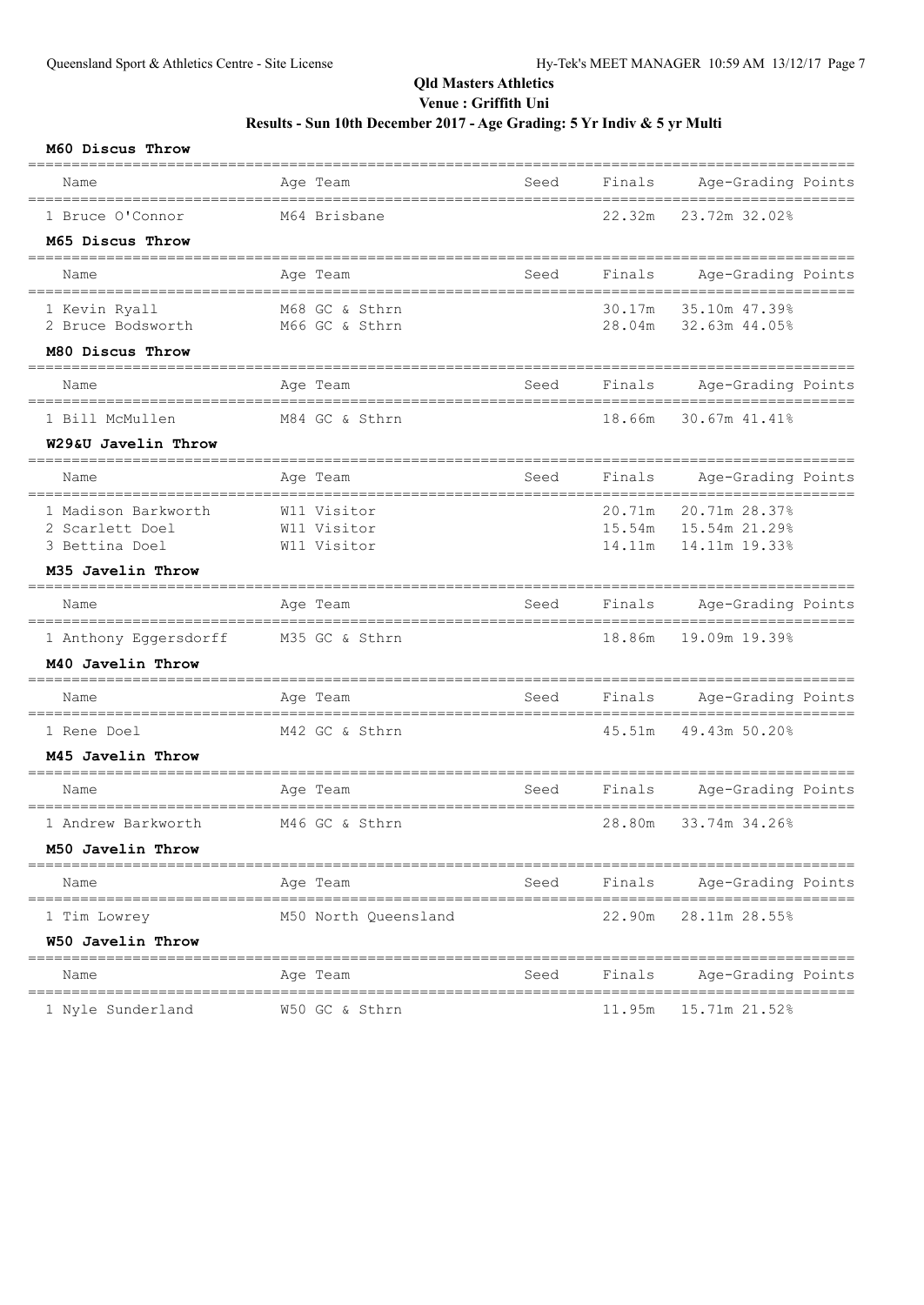## **Results - Sun 10th December 2017 - Age Grading: 5 Yr Indiv & 5 yr Multi**

#### **M60 Discus Throw**

| Name                                                     | Age Team                                  | Seed | Finals                     | Age-Grading Points                              |
|----------------------------------------------------------|-------------------------------------------|------|----------------------------|-------------------------------------------------|
| 1 Bruce O'Connor                                         | M64 Brisbane                              |      | 22.32m                     | 23.72m 32.02%                                   |
| M65 Discus Throw                                         |                                           |      |                            |                                                 |
| Name                                                     | Age Team                                  | Seed | Finals                     | Age-Grading Points                              |
| 1 Kevin Ryall<br>2 Bruce Bodsworth                       | M68 GC & Sthrn<br>M66 GC & Sthrn          |      | 30.17m<br>28.04m           | 35.10m 47.39%<br>32.63m 44.05%                  |
| M80 Discus Throw                                         |                                           |      |                            |                                                 |
| Name                                                     | Age Team                                  | Seed | Finals                     | Age-Grading Points                              |
| 1 Bill McMullen                                          | M84 GC & Sthrn                            |      | 18.66m                     | 30.67m 41.41%                                   |
| W29&U Javelin Throw                                      |                                           |      |                            |                                                 |
| Name                                                     | Age Team                                  | Seed | Finals                     | Age-Grading Points                              |
| 1 Madison Barkworth<br>2 Scarlett Doel<br>3 Bettina Doel | W11 Visitor<br>W11 Visitor<br>W11 Visitor |      | 20.71m<br>15.54m<br>14.11m | 20.71m 28.37%<br>15.54m 21.29%<br>14.11m 19.33% |
| M35 Javelin Throw                                        |                                           |      |                            |                                                 |
| Name<br>=================================                | Age Team<br>----------------------------- | Seed | Finals                     | Age-Grading Points                              |
| 1 Anthony Eggersdorff                                    | M35 GC & Sthrn                            |      | 18.86m                     | 19.09m 19.39%                                   |
| M40 Javelin Throw                                        |                                           |      |                            |                                                 |
| Name                                                     | Age Team                                  | Seed | Finals                     | Age-Grading Points                              |
| 1 Rene Doel                                              | M42 GC & Sthrn                            |      | 45.51m                     | 49.43m 50.20%                                   |
| M45 Javelin Throw                                        |                                           |      |                            |                                                 |
| Name<br>_________________                                | Age Team                                  | Seed | Finals                     | Age-Grading Points                              |
| 1 Andrew Barkworth                                       | M46 GC & Sthrn                            |      | 28.80m                     | 33.74m 34.26%                                   |
| M50 Javelin Throw                                        | ======                                    |      |                            | ==================                              |
| Name                                                     | Age Team                                  | Seed | Finals                     | Age-Grading Points                              |
| 1 Tim Lowrey                                             | M50 North Queensland                      |      | 22.90m                     | 28.11m 28.55%                                   |
| W50 Javelin Throw                                        |                                           |      |                            |                                                 |
| Name                                                     | Age Team                                  | Seed | Finals                     | Age-Grading Points                              |
| 1 Nyle Sunderland                                        | W50 GC & Sthrn                            |      | 11.95m                     | 15.71m 21.52%                                   |